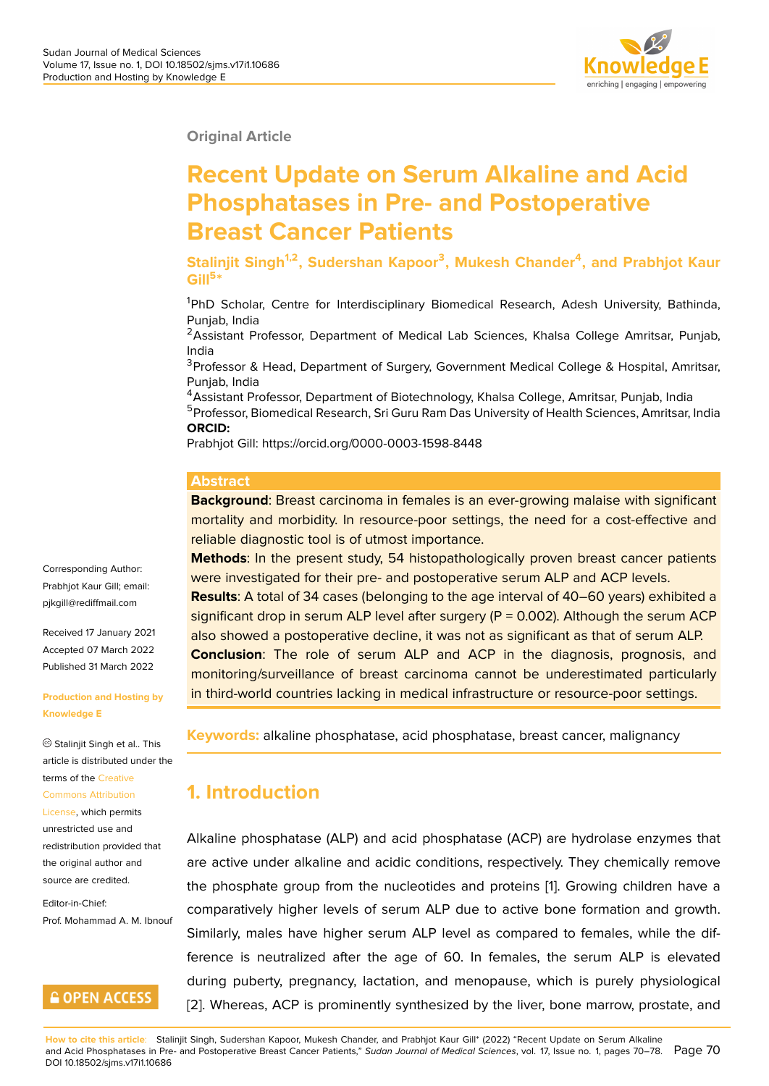**Original Article**

# **Recent Update on Serum Alkaline and Acid Phosphatases in Pre- and Postoperative Breast Cancer Patients**

**Stalinjit Singh1,2, Sudershan Kapoor<sup>3</sup> , Mukesh Chander<sup>4</sup> , and Prabhjot Kaur Gill<sup>5</sup> \***

<sup>1</sup>PhD Scholar, Centre for Interdisciplinary Biomedical Research, Adesh University, Bathinda, Punjab, India

<sup>2</sup> Assistant Professor, Department of Medical Lab Sciences, Khalsa College Amritsar, Punjab, India

<sup>3</sup>Professor & Head, Department of Surgery, Government Medical College & Hospital, Amritsar, Punjab, India

<sup>4</sup> Assistant Professor, Department of Biotechnology, Khalsa College, Amritsar, Punjab, India <sup>5</sup>Professor, Biomedical Research, Sri Guru Ram Das University of Health Sciences, Amritsar, India **ORCID:**

Prabhjot Gill: https://orcid.org/0000-0003-1598-8448

#### **Abstract**

**Background**: Breast carcinoma in females is an ever-growing malaise with significant mortality and morbidity. In resource-poor settings, the need for a cost-effective and reliable diagnostic tool is of utmost importance.

**Methods**: In the present study, 54 histopathologically proven breast cancer patients were investigated for their pre- and postoperative serum ALP and ACP levels. **Results**: A total of 34 cases (belonging to the age interval of 40–60 years) exhibited a significant drop in serum ALP level after surgery  $(P = 0.002)$ . Although the serum ACP also showed a postoperative decline, it was not as significant as that of serum ALP. **Conclusion**: The role of serum ALP and ACP in the diagnosis, prognosis, and monitoring/surveillance of breast carcinoma cannot be underestimated particularly in third-world countries lacking in medical infrastructure or resource-poor settings.

Prabhjot Kaur Gill; email: pjkgill@rediffmail.com

Corresponding Author:

Received 17 January 2021 Accepted 07 March 2022 [Published 31 March 20](mailto:pjkgill@rediffmail.com)22

#### **Production and Hosting by Knowledge E**

Stalinjit Singh et al.. This article is distributed under the terms of the Creative Commons Attribution

License, which permits unrestricted use and redistributio[n provide](https://creativecommons.org/licenses/by/4.0/)d that [the original author an](https://creativecommons.org/licenses/by/4.0/)d [source a](https://creativecommons.org/licenses/by/4.0/)re credited.

Editor-in-Chief: Prof. Mohammad A. M. Ibnouf

### **GOPEN ACCESS**

**Keywords:** alkaline phosphatase, acid phosphatase, breast cancer, malignancy

### **1. Introduction**

Alkaline phosphatase (ALP) and acid phosphatase (ACP) are hydrolase enzymes that are active under alkaline and acidic conditions, respectively. They chemically remove the phosphate group from the nucleotides and proteins [1]. Growing children have a comparatively higher levels of serum ALP due to active bone formation and growth. Similarly, males have higher serum ALP level as compared to females, while the difference is neutralized after the age of 60. In females, [th](#page-7-0)e serum ALP is elevated during puberty, pregnancy, lactation, and menopause, which is purely physiological [2]. Whereas, ACP is prominently synthesized by the liver, bone marrow, prostate, and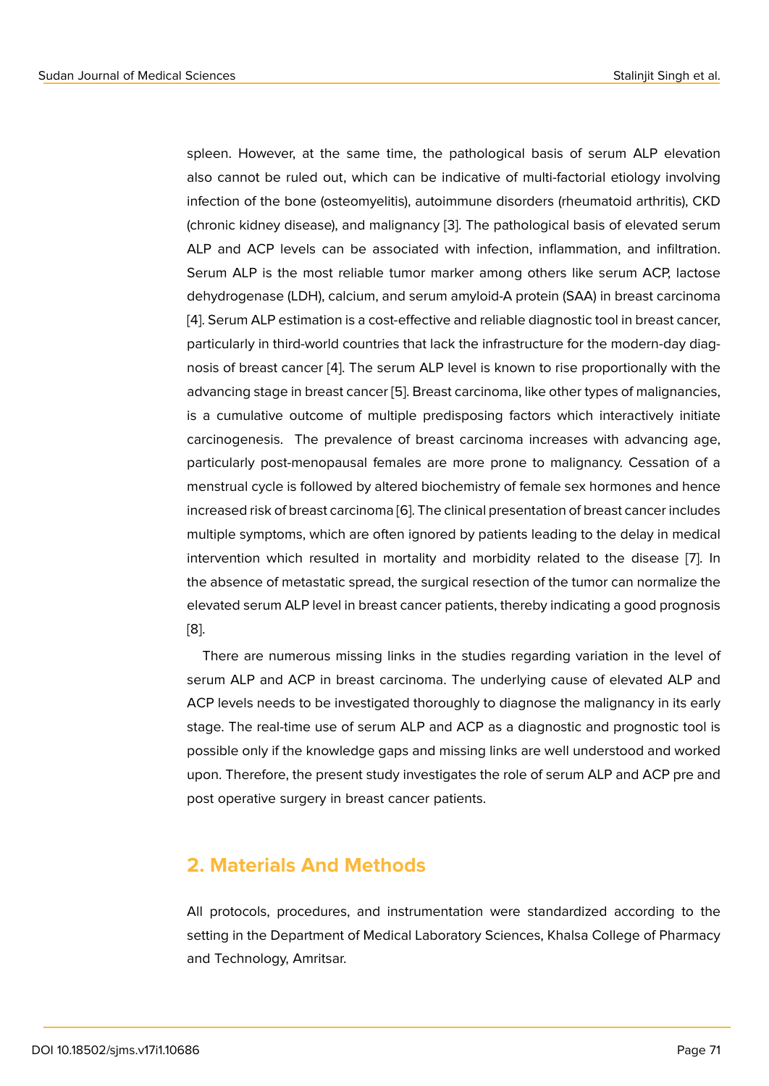spleen. However, at the same time, the pathological basis of serum ALP elevation also cannot be ruled out, which can be indicative of multi-factorial etiology involving infection of the bone (osteomyelitis), autoimmune disorders (rheumatoid arthritis), CKD (chronic kidney disease), and malignancy [3]. The pathological basis of elevated serum ALP and ACP levels can be associated with infection, inflammation, and infiltration. Serum ALP is the most reliable tumor marker among others like serum ACP, lactose dehydrogenase (LDH), calcium, and serum [a](#page-7-1)myloid-A protein (SAA) in breast carcinoma [4]. Serum ALP estimation is a cost-effective and reliable diagnostic tool in breast cancer, particularly in third-world countries that lack the infrastructure for the modern-day diagnosis of breast cancer [4]. The serum ALP level is known to rise proportionally with the [ad](#page-7-2)vancing stage in breast cancer [5]. Breast carcinoma, like other types of malignancies, is a cumulative outcome of multiple predisposing factors which interactively initiate carcinogenesis. The [pre](#page-7-2)valence of breast carcinoma increases with advancing age, particularly post-menopausal fe[ma](#page-7-3)les are more prone to malignancy. Cessation of a menstrual cycle is followed by altered biochemistry of female sex hormones and hence increased risk of breast carcinoma [6]. The clinical presentation of breast cancer includes multiple symptoms, which are often ignored by patients leading to the delay in medical intervention which resulted in mortality and morbidity related to the disease [7]. In the absence of metastatic spread, [th](#page-7-4)e surgical resection of the tumor can normalize the elevated serum ALP level in breast cancer patients, thereby indicating a good prognosis [8].

There are numerous missing links in the studies regarding variation in the level of serum ALP and ACP in breast carcinoma. The underlying cause of elevated ALP and [AC](#page-8-0)P levels needs to be investigated thoroughly to diagnose the malignancy in its early stage. The real-time use of serum ALP and ACP as a diagnostic and prognostic tool is possible only if the knowledge gaps and missing links are well understood and worked upon. Therefore, the present study investigates the role of serum ALP and ACP pre and post operative surgery in breast cancer patients.

### **2. Materials And Methods**

All protocols, procedures, and instrumentation were standardized according to the setting in the Department of Medical Laboratory Sciences, Khalsa College of Pharmacy and Technology, Amritsar.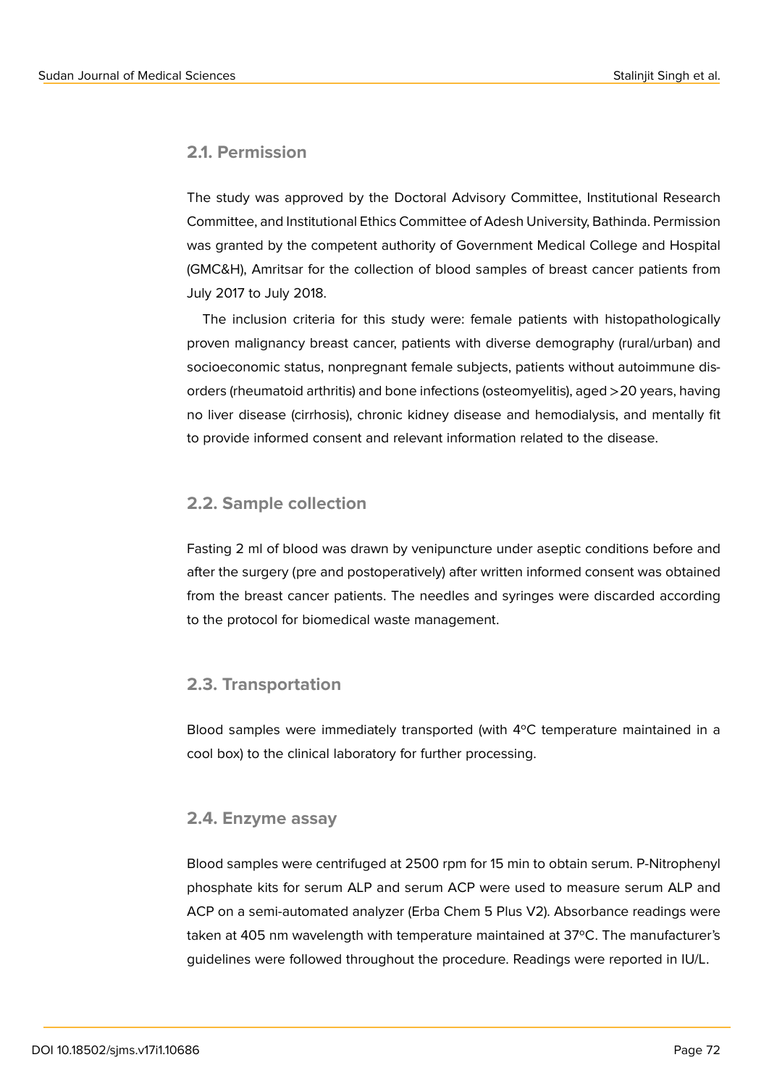#### **2.1. Permission**

The study was approved by the Doctoral Advisory Committee, Institutional Research Committee, and Institutional Ethics Committee of Adesh University, Bathinda. Permission was granted by the competent authority of Government Medical College and Hospital (GMC&H), Amritsar for the collection of blood samples of breast cancer patients from July 2017 to July 2018.

The inclusion criteria for this study were: female patients with histopathologically proven malignancy breast cancer, patients with diverse demography (rural/urban) and socioeconomic status, nonpregnant female subjects, patients without autoimmune disorders (rheumatoid arthritis) and bone infections (osteomyelitis), aged >20 years, having no liver disease (cirrhosis), chronic kidney disease and hemodialysis, and mentally fit to provide informed consent and relevant information related to the disease.

#### **2.2. Sample collection**

Fasting 2 ml of blood was drawn by venipuncture under aseptic conditions before and after the surgery (pre and postoperatively) after written informed consent was obtained from the breast cancer patients. The needles and syringes were discarded according to the protocol for biomedical waste management.

#### **2.3. Transportation**

Blood samples were immediately transported (with 4ºC temperature maintained in a cool box) to the clinical laboratory for further processing.

#### **2.4. Enzyme assay**

Blood samples were centrifuged at 2500 rpm for 15 min to obtain serum. P-Nitrophenyl phosphate kits for serum ALP and serum ACP were used to measure serum ALP and ACP on a semi-automated analyzer (Erba Chem 5 Plus V2). Absorbance readings were taken at 405 nm wavelength with temperature maintained at 37ºC. The manufacturer's guidelines were followed throughout the procedure. Readings were reported in IU/L.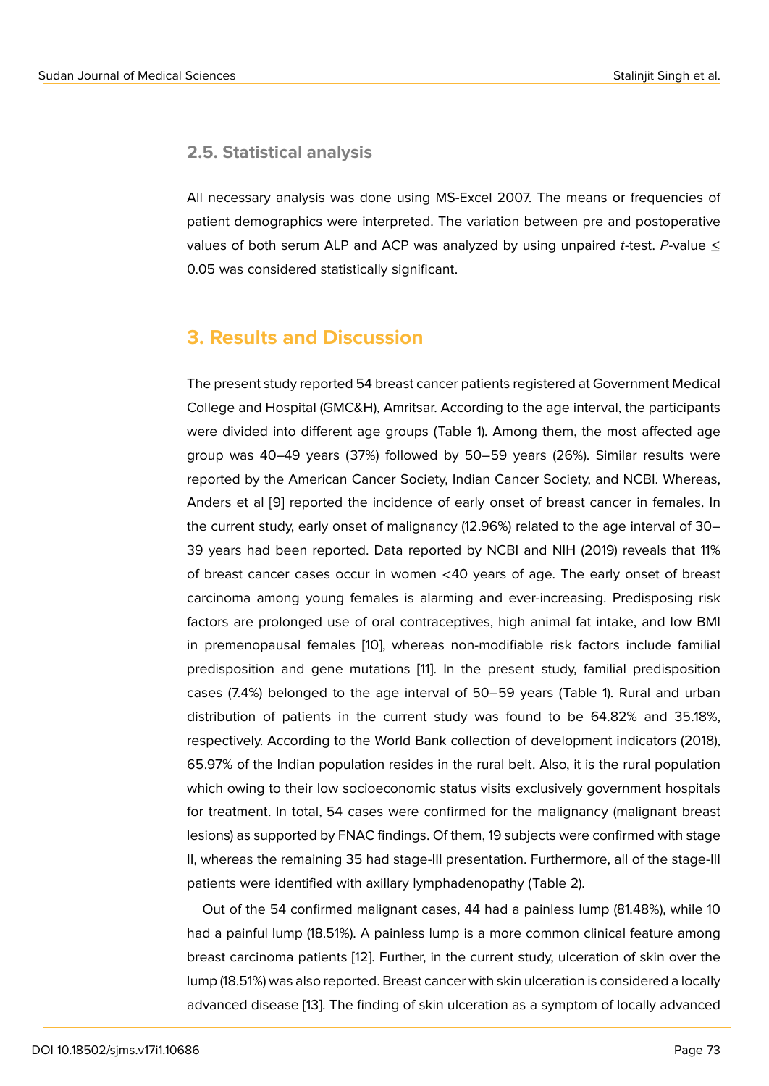#### **2.5. Statistical analysis**

All necessary analysis was done using MS-Excel 2007. The means or frequencies of patient demographics were interpreted. The variation between pre and postoperative values of both serum ALP and ACP was analyzed by using unpaired *t*-test. *P*-value  $\leq$ 0.05 was considered statistically significant.

### **3. Results and Discussion**

The present study reported 54 breast cancer patients registered at Government Medical College and Hospital (GMC&H), Amritsar. According to the age interval, the participants were divided into different age groups (Table 1). Among them, the most affected age group was 40–49 years (37%) followed by 50–59 years (26%). Similar results were reported by the American Cancer Society, Indian Cancer Society, and NCBI. Whereas, Anders et al [9] reported the incidence of early onset of breast cancer in females. In the current study, early onset of malignancy (12.96%) related to the age interval of 30– 39 years had been reported. Data reported by NCBI and NIH (2019) reveals that 11% of breast can[ce](#page-8-1)r cases occur in women <40 years of age. The early onset of breast carcinoma among young females is alarming and ever-increasing. Predisposing risk factors are prolonged use of oral contraceptives, high animal fat intake, and low BMI in premenopausal females [10], whereas non-modifiable risk factors include familial predisposition and gene mutations [11]. In the present study, familial predisposition cases (7.4%) belonged to the age interval of 50–59 years (Table 1). Rural and urban distribution of patients in t[he](#page-8-2) current study was found to be 64.82% and 35.18%, respectively. According to the World [Ba](#page-8-3)nk collection of development indicators (2018), 65.97% of the Indian population resides in the rural belt. Also, it is the rural population which owing to their low socioeconomic status visits exclusively government hospitals for treatment. In total, 54 cases were confirmed for the malignancy (malignant breast lesions) as supported by FNAC findings. Of them, 19 subjects were confirmed with stage II, whereas the remaining 35 had stage-III presentation. Furthermore, all of the stage-III patients were identified with axillary lymphadenopathy (Table 2).

Out of the 54 confirmed malignant cases, 44 had a painless lump (81.48%), while 10 had a painful lump (18.51%). A painless lump is a more common clinical feature among breast carcinoma patients [12]. Further, in the current study, ulceration of skin over the lump (18.51%) was also reported. Breast cancer with skin ulceration is considered a locally advanced disease [13]. The finding of skin ulceration as a symptom of locally advanced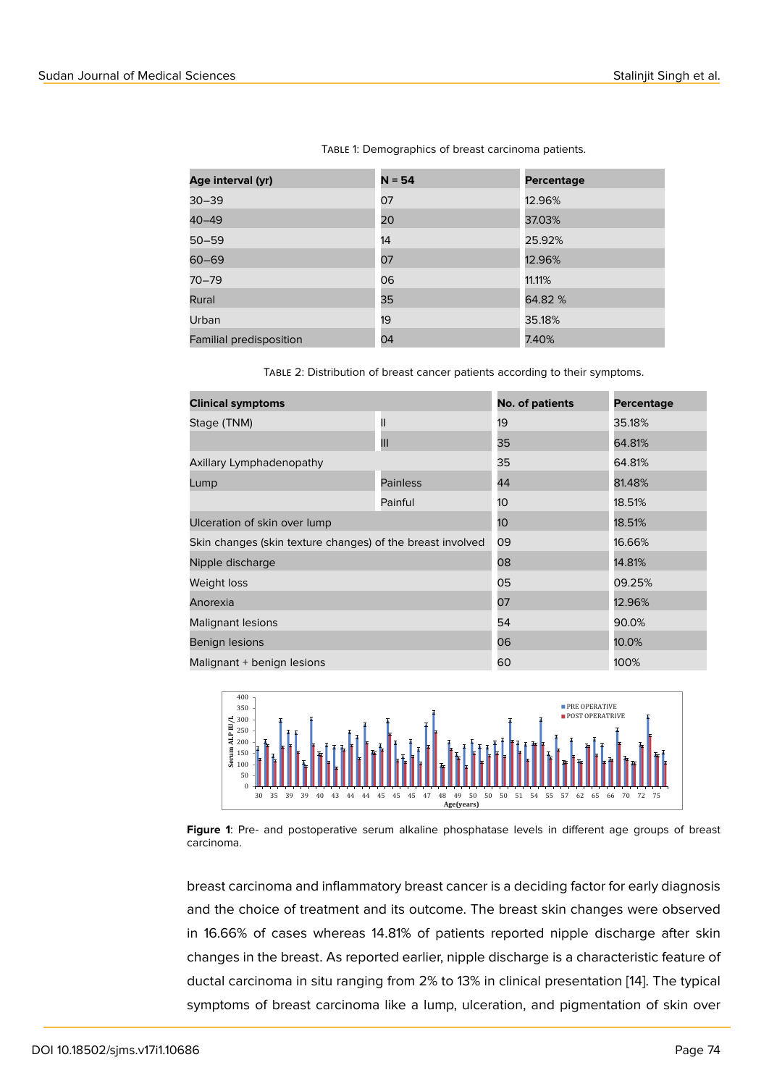TABLE 1: Demographics of breast carcinoma patients.

| Age interval (yr)       | $N = 54$ | <b>Percentage</b> |
|-------------------------|----------|-------------------|
| $30 - 39$               | 07       | 12.96%            |
| $40 - 49$               | 20       | 37.03%            |
| $50 - 59$               | 14       | 25.92%            |
| $60 - 69$               | 07       | 12.96%            |
| $70 - 79$               | 06       | 11.11%            |
| Rural                   | 35       | 64.82 %           |
| Urban                   | 19       | 35.18%            |
| Familial predisposition | 04       | 7.40%             |

Table 2: Distribution of breast cancer patients according to their symptoms.

| <b>Clinical symptoms</b>                                   | <b>No. of patients</b> | <b>Percentage</b> |        |  |
|------------------------------------------------------------|------------------------|-------------------|--------|--|
| Stage (TNM)                                                | Ш                      | 19                | 35.18% |  |
|                                                            | Ш                      | 35                | 64.81% |  |
| Axillary Lymphadenopathy                                   |                        | 35                | 64.81% |  |
| Lump                                                       | <b>Painless</b>        | 44                | 81.48% |  |
|                                                            | Painful                | 10                | 18.51% |  |
| Ulceration of skin over lump                               | 10                     | 18.51%            |        |  |
| Skin changes (skin texture changes) of the breast involved | 09                     | 16.66%            |        |  |
| Nipple discharge                                           | 08<br>14.81%           |                   |        |  |
| Weight loss                                                | 05<br>09.25%           |                   |        |  |
| Anorexia                                                   | 07                     | 12.96%            |        |  |
| Malignant lesions                                          | 54                     | 90.0%             |        |  |
| Benign lesions                                             |                        | 06                | 10.0%  |  |
| Malignant + benign lesions                                 | 60                     | 100%              |        |  |



**Figure 1**: Pre- and postoperative serum alkaline phosphatase levels in different age groups of breast carcinoma.

<span id="page-4-0"></span>breast carcinoma and inflammatory breast cancer is a deciding factor for early diagnosis and the choice of treatment and its outcome. The breast skin changes were observed in 16.66% of cases whereas 14.81% of patients reported nipple discharge after skin changes in the breast. As reported earlier, nipple discharge is a characteristic feature of ductal carcinoma in situ ranging from 2% to 13% in clinical presentation [14]. The typical symptoms of breast carcinoma like a lump, ulceration, and pigmentation of skin over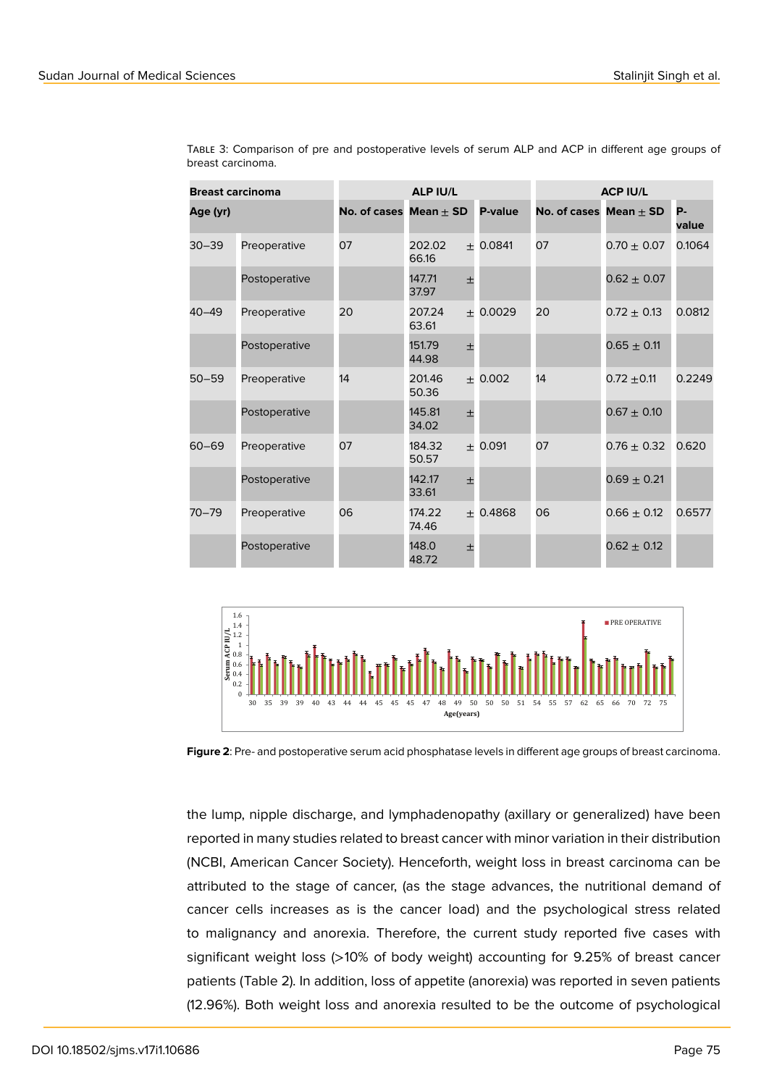| <b>Breast carcinoma</b> |               | <b>ALP IU/L</b>            |                 |       | <b>ACP IU/L</b> |                            |                 |                    |
|-------------------------|---------------|----------------------------|-----------------|-------|-----------------|----------------------------|-----------------|--------------------|
| Age (yr)                |               | No. of cases $Mean \pm SD$ |                 |       | P-value         | No. of cases $Mean \pm SD$ |                 | <b>P-</b><br>value |
| $30 - 39$               | Preoperative  | 07                         | 202.02<br>66.16 |       | $+0.0841$       | 07                         | $0.70 \pm 0.07$ | 0.1064             |
|                         | Postoperative |                            | 147.71<br>37.97 | 士     |                 |                            | $0.62 \pm 0.07$ |                    |
| $40 - 49$               | Preoperative  | 20                         | 207.24<br>63.61 |       | ± 0.0029        | 20                         | $0.72 + 0.13$   | 0.0812             |
|                         | Postoperative |                            | 151.79<br>44.98 | 士     |                 |                            | $0.65 \pm 0.11$ |                    |
| $50 - 59$               | Preoperative  | 14                         | 201.46<br>50.36 |       | $+0.002$        | 14                         | $0.72 + 0.11$   | 0.2249             |
|                         | Postoperative |                            | 145.81<br>34.02 | $\pm$ |                 |                            | $0.67 \pm 0.10$ |                    |
| $60 - 69$               | Preoperative  | 07                         | 184.32<br>50.57 |       | $+0.091$        | 07                         | $0.76 \pm 0.32$ | 0.620              |
|                         | Postoperative |                            | 142.17<br>33.61 | 土     |                 |                            | $0.69 \pm 0.21$ |                    |
| $70 - 79$               | Preoperative  | 06                         | 174.22<br>74.46 |       | $+0.4868$       | 06                         | $0.66 \pm 0.12$ | 0.6577             |
|                         | Postoperative |                            | 148.0<br>48.72  | 土     |                 |                            | $0.62 \pm 0.12$ |                    |

Table 3: Comparison of pre and postoperative levels of serum ALP and ACP in different age groups of breast carcinoma.



<span id="page-5-0"></span>**Figure 2**: Pre- and postoperative serum acid phosphatase levels in different age groups of breast carcinoma.

the lump, nipple discharge, and lymphadenopathy (axillary or generalized) have been reported in many studies related to breast cancer with minor variation in their distribution (NCBI, American Cancer Society). Henceforth, weight loss in breast carcinoma can be attributed to the stage of cancer, (as the stage advances, the nutritional demand of cancer cells increases as is the cancer load) and the psychological stress related to malignancy and anorexia. Therefore, the current study reported five cases with significant weight loss (>10% of body weight) accounting for 9.25% of breast cancer patients (Table 2). In addition, loss of appetite (anorexia) was reported in seven patients (12.96%). Both weight loss and anorexia resulted to be the outcome of psychological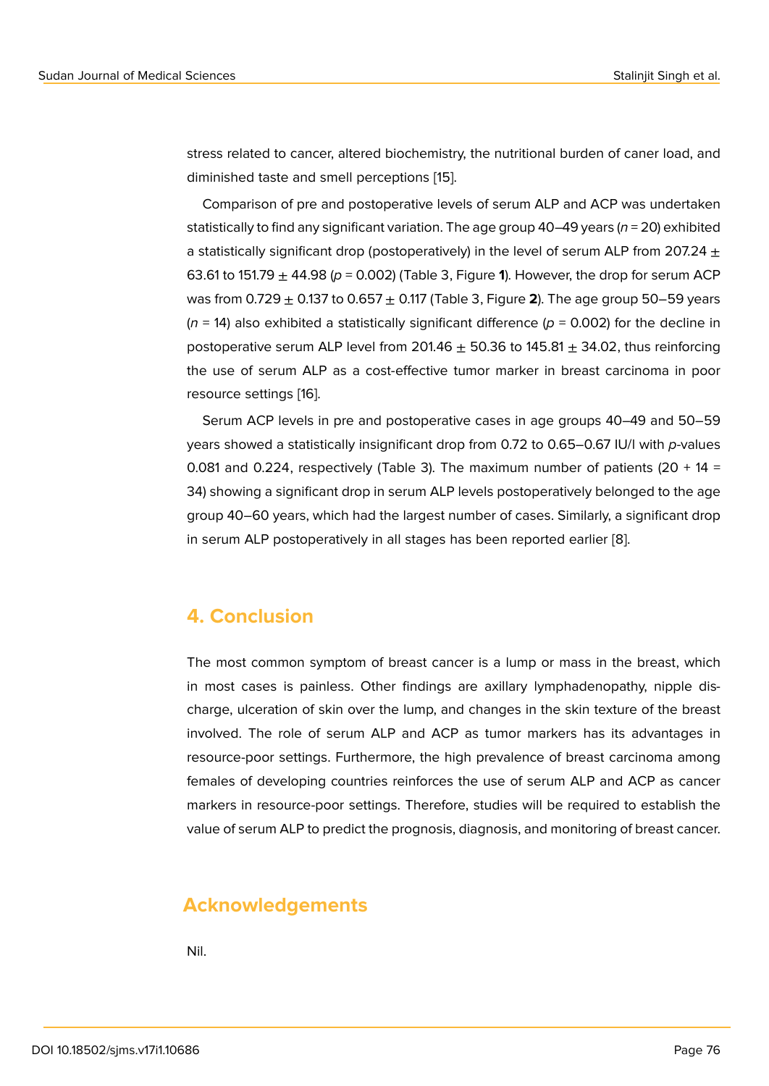stress related to cancer, altered biochemistry, the nutritional burden of caner load, and diminished taste and smell perceptions [15].

Comparison of pre and postoperative levels of serum ALP and ACP was undertaken statistically to find any significant variation. The age group 40–49 years (*n* = 20) exhibited a statistically significant drop (postopera[tive](#page-8-4)ly) in the level of serum ALP from 207.24  $\pm$ 63.61 to 151.79  $\pm$  44.98 ( $p = 0.002$ ) (Table 3, Figure 1). However, the drop for serum ACP was from 0.729 ± 0.137 to 0.657 ± 0.117 (Table 3, Figure **2**). The age group 50–59 years  $(n = 14)$  also exhibited a statistically significant difference  $(p = 0.002)$  for the decline in postoperative serum ALP level from 201.4[6](#page-4-0)  $\pm$  50.36 to 145.81  $\pm$  34.02, thus reinforcing the use of serum ALP as a cost-effective tumor mark[er](#page-5-0) in breast carcinoma in poor resource settings [16].

Serum ACP levels in pre and postoperative cases in age groups 40–49 and 50–59 years showed a statistically insignificant drop from 0.72 to 0.65–0.67 IU/l with *p*-values 0.081 and 0.224, [res](#page-8-5)pectively (Table 3). The maximum number of patients (20 + 14 = 34) showing a significant drop in serum ALP levels postoperatively belonged to the age group 40–60 years, which had the largest number of cases. Similarly, a significant drop in serum ALP postoperatively in all stages has been reported earlier [8].

### **4. Conclusion**

The most common symptom of breast cancer is a lump or mass in the breast, which in most cases is painless. Other findings are axillary lymphadenopathy, nipple discharge, ulceration of skin over the lump, and changes in the skin texture of the breast involved. The role of serum ALP and ACP as tumor markers has its advantages in resource-poor settings. Furthermore, the high prevalence of breast carcinoma among females of developing countries reinforces the use of serum ALP and ACP as cancer markers in resource-poor settings. Therefore, studies will be required to establish the value of serum ALP to predict the prognosis, diagnosis, and monitoring of breast cancer.

### **Acknowledgements**

Nil.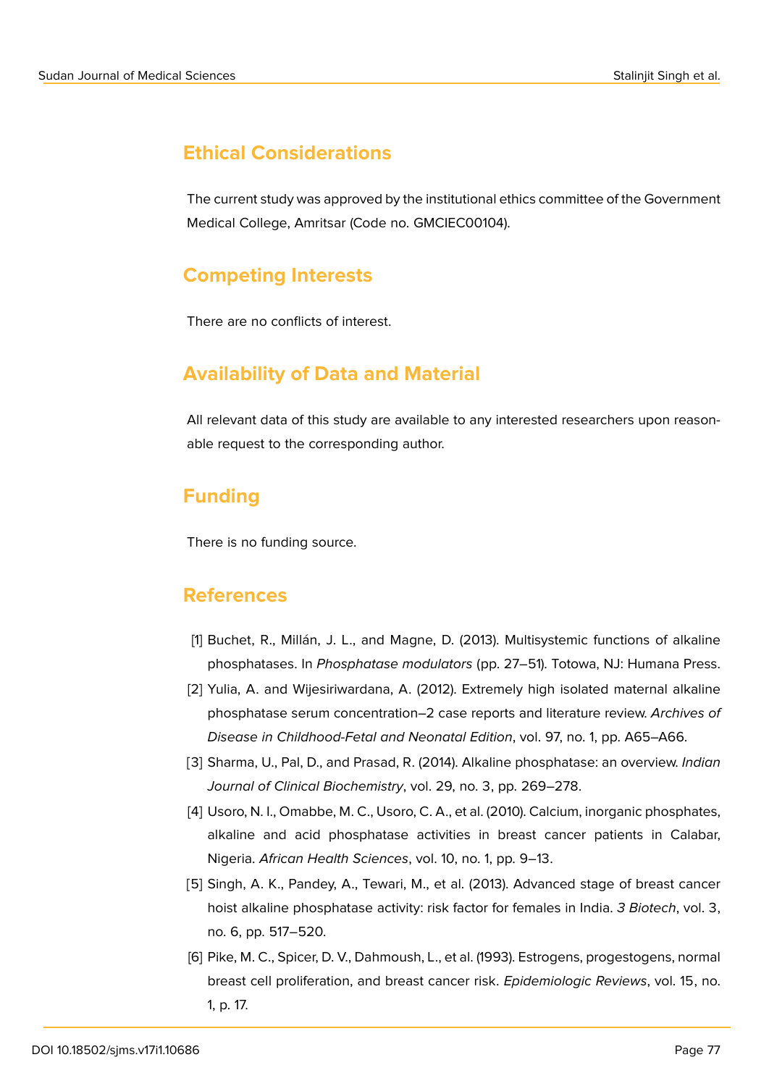### **Ethical Considerations**

The current study was approved by the institutional ethics committee of the Government Medical College, Amritsar (Code no. GMCIEC00104).

### **Competing Interests**

There are no conflicts of interest.

## **Availability of Data and Material**

All relevant data of this study are available to any interested researchers upon reasonable request to the corresponding author.

## **Funding**

There is no funding source.

### **References**

- <span id="page-7-0"></span>[1] Buchet, R., Millán, J. L., and Magne, D. (2013). Multisystemic functions of alkaline phosphatases. In *Phosphatase modulators* (pp. 27–51). Totowa, NJ: Humana Press.
- [2] Yulia, A. and Wijesiriwardana, A. (2012). Extremely high isolated maternal alkaline phosphatase serum concentration–2 case reports and literature review. *Archives of Disease in Childhood-Fetal and Neonatal Edition*, vol. 97, no. 1, pp. A65–A66.
- <span id="page-7-1"></span>[3] Sharma, U., Pal, D., and Prasad, R. (2014). Alkaline phosphatase: an overview. *Indian Journal of Clinical Biochemistry*, vol. 29, no. 3, pp. 269–278.
- <span id="page-7-2"></span>[4] Usoro, N. I., Omabbe, M. C., Usoro, C. A., et al. (2010). Calcium, inorganic phosphates, alkaline and acid phosphatase activities in breast cancer patients in Calabar, Nigeria. *African Health Sciences*, vol. 10, no. 1, pp. 9–13.
- <span id="page-7-3"></span>[5] Singh, A. K., Pandey, A., Tewari, M., et al. (2013). Advanced stage of breast cancer hoist alkaline phosphatase activity: risk factor for females in India. *3 Biotech*, vol. 3, no. 6, pp. 517–520.
- <span id="page-7-4"></span>[6] Pike, M. C., Spicer, D. V., Dahmoush, L., et al. (1993). Estrogens, progestogens, normal breast cell proliferation, and breast cancer risk. *Epidemiologic Reviews*, vol. 15, no. 1, p. 17.